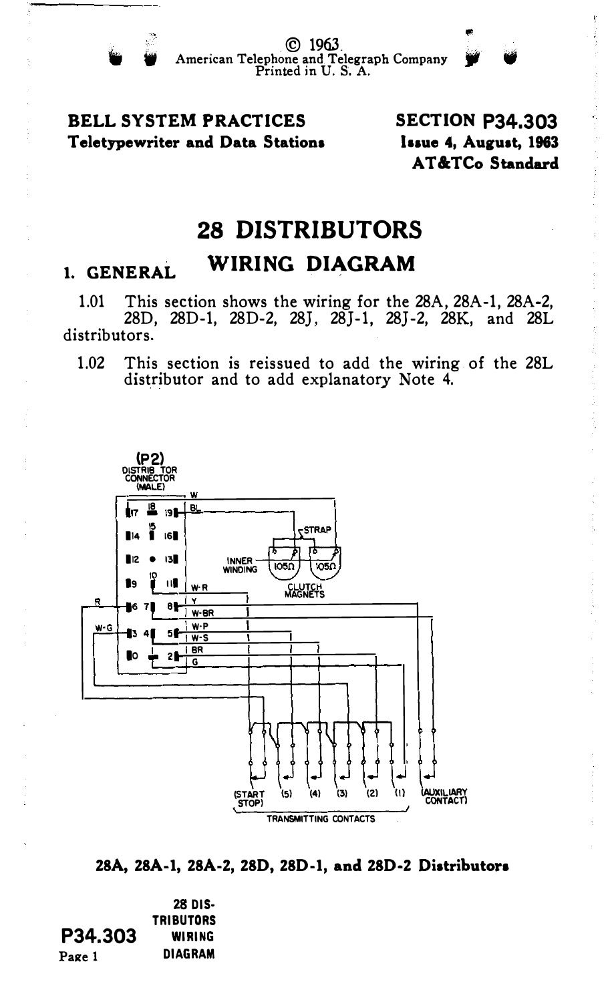## **BELL SYSTEM PRACTICES** Teletypewriter and Data Stations

**SECTION P34.303** Issue 4. August. 1963 AT&TCo Standard

## **28 DISTRIBUTORS**

## WIRING DIAGRAM 1. GENERAL

This section shows the wiring for the 28A, 28A-1, 28A-2,  $1.01$ 28D, 28D-1, 28D-2, 28J, 28J-1, 28J-2, 28K, and 28L distributors.

1.02 This section is reissued to add the wiring of the 28L distributor and to add explanatory Note 4.



28A, 28A-1, 28A-2, 28D, 28D-1, and 28D-2 Distributors

28 DIS-**TRIBUTORS** P34.303 WIRING **DIAGRAM** Page 1